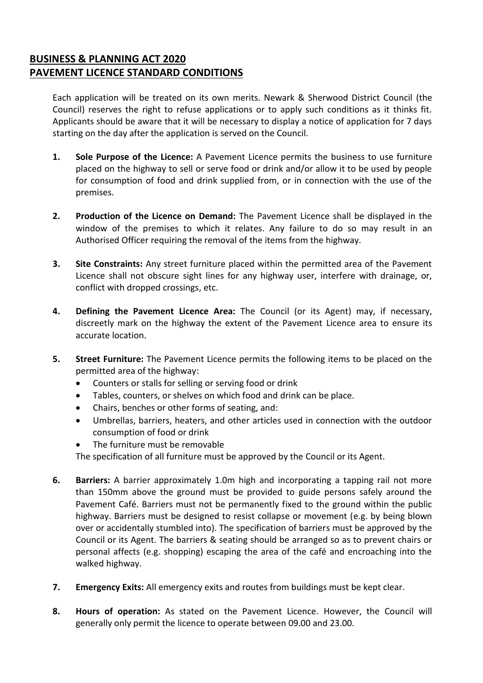## **BUSINESS & PLANNING ACT 2020 PAVEMENT LICENCE STANDARD CONDITIONS**

Each application will be treated on its own merits. Newark & Sherwood District Council (the Council) reserves the right to refuse applications or to apply such conditions as it thinks fit. Applicants should be aware that it will be necessary to display a notice of application for 7 days starting on the day after the application is served on the Council.

- **1. Sole Purpose of the Licence:** A Pavement Licence permits the business to use furniture placed on the highway to sell or serve food or drink and/or allow it to be used by people for consumption of food and drink supplied from, or in connection with the use of the premises.
- **2. Production of the Licence on Demand:** The Pavement Licence shall be displayed in the window of the premises to which it relates. Any failure to do so may result in an Authorised Officer requiring the removal of the items from the highway.
- **3. Site Constraints:** Any street furniture placed within the permitted area of the Pavement Licence shall not obscure sight lines for any highway user, interfere with drainage, or, conflict with dropped crossings, etc.
- **4. Defining the Pavement Licence Area:** The Council (or its Agent) may, if necessary, discreetly mark on the highway the extent of the Pavement Licence area to ensure its accurate location.
- **5. Street Furniture:** The Pavement Licence permits the following items to be placed on the permitted area of the highway:
	- Counters or stalls for selling or serving food or drink
	- Tables, counters, or shelves on which food and drink can be place.
	- Chairs, benches or other forms of seating, and:
	- Umbrellas, barriers, heaters, and other articles used in connection with the outdoor consumption of food or drink
	- The furniture must be removable

The specification of all furniture must be approved by the Council or its Agent.

- **6. Barriers:** A barrier approximately 1.0m high and incorporating a tapping rail not more than 150mm above the ground must be provided to guide persons safely around the Pavement Café. Barriers must not be permanently fixed to the ground within the public highway. Barriers must be designed to resist collapse or movement (e.g. by being blown over or accidentally stumbled into). The specification of barriers must be approved by the Council or its Agent. The barriers & seating should be arranged so as to prevent chairs or personal affects (e.g. shopping) escaping the area of the café and encroaching into the walked highway.
- **7. Emergency Exits:** All emergency exits and routes from buildings must be kept clear.
- **8. Hours of operation:** As stated on the Pavement Licence. However, the Council will generally only permit the licence to operate between 09.00 and 23.00.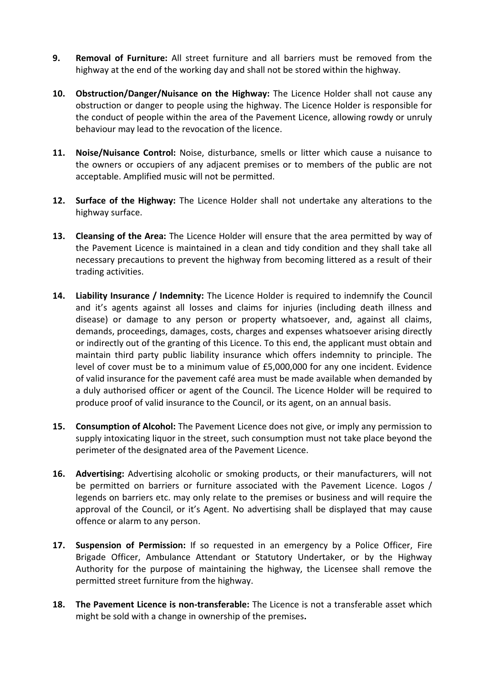- **9. Removal of Furniture:** All street furniture and all barriers must be removed from the highway at the end of the working day and shall not be stored within the highway.
- **10. Obstruction/Danger/Nuisance on the Highway:** The Licence Holder shall not cause any obstruction or danger to people using the highway. The Licence Holder is responsible for the conduct of people within the area of the Pavement Licence, allowing rowdy or unruly behaviour may lead to the revocation of the licence.
- **11. Noise/Nuisance Control:** Noise, disturbance, smells or litter which cause a nuisance to the owners or occupiers of any adjacent premises or to members of the public are not acceptable. Amplified music will not be permitted.
- **12. Surface of the Highway:** The Licence Holder shall not undertake any alterations to the highway surface.
- **13. Cleansing of the Area:** The Licence Holder will ensure that the area permitted by way of the Pavement Licence is maintained in a clean and tidy condition and they shall take all necessary precautions to prevent the highway from becoming littered as a result of their trading activities.
- **14. Liability Insurance / Indemnity:** The Licence Holder is required to indemnify the Council and it's agents against all losses and claims for injuries (including death illness and disease) or damage to any person or property whatsoever, and, against all claims, demands, proceedings, damages, costs, charges and expenses whatsoever arising directly or indirectly out of the granting of this Licence. To this end, the applicant must obtain and maintain third party public liability insurance which offers indemnity to principle. The level of cover must be to a minimum value of £5,000,000 for any one incident. Evidence of valid insurance for the pavement café area must be made available when demanded by a duly authorised officer or agent of the Council. The Licence Holder will be required to produce proof of valid insurance to the Council, or its agent, on an annual basis.
- **15. Consumption of Alcohol:** The Pavement Licence does not give, or imply any permission to supply intoxicating liquor in the street, such consumption must not take place beyond the perimeter of the designated area of the Pavement Licence.
- **16. Advertising:** Advertising alcoholic or smoking products, or their manufacturers, will not be permitted on barriers or furniture associated with the Pavement Licence. Logos / legends on barriers etc. may only relate to the premises or business and will require the approval of the Council, or it's Agent. No advertising shall be displayed that may cause offence or alarm to any person.
- **17. Suspension of Permission:** If so requested in an emergency by a Police Officer, Fire Brigade Officer, Ambulance Attendant or Statutory Undertaker, or by the Highway Authority for the purpose of maintaining the highway, the Licensee shall remove the permitted street furniture from the highway.
- **18. The Pavement Licence is non-transferable:** The Licence is not a transferable asset which might be sold with a change in ownership of the premises**.**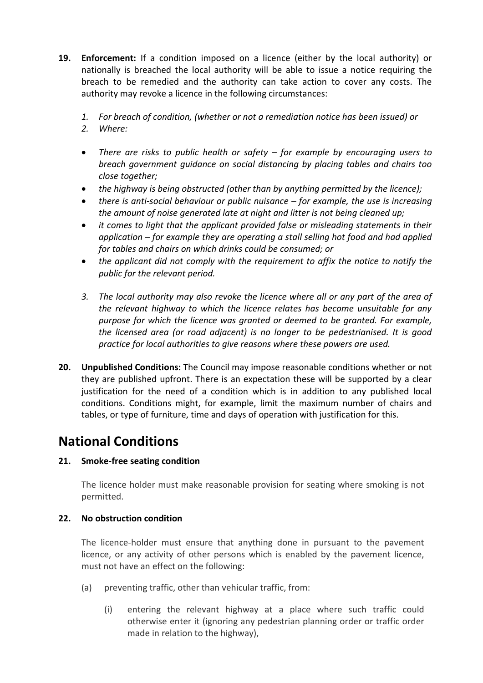- **19. Enforcement:** If a condition imposed on a licence (either by the local authority) or nationally is breached the local authority will be able to issue a notice requiring the breach to be remedied and the authority can take action to cover any costs. The authority may revoke a licence in the following circumstances:
	- *1. For breach of condition, (whether or not a remediation notice has been issued) or*
	- *2. Where:*
	- *There are risks to public health or safety – for example by encouraging users to breach government guidance on social distancing by placing tables and chairs too close together;*
	- *the highway is being obstructed (other than by anything permitted by the licence);*
	- *there is anti-social behaviour or public nuisance – for example, the use is increasing the amount of noise generated late at night and litter is not being cleaned up;*
	- *it comes to light that the applicant provided false or misleading statements in their application – for example they are operating a stall selling hot food and had applied for tables and chairs on which drinks could be consumed; or*
	- *the applicant did not comply with the requirement to affix the notice to notify the public for the relevant period.*
	- *3. The local authority may also revoke the licence where all or any part of the area of the relevant highway to which the licence relates has become unsuitable for any purpose for which the licence was granted or deemed to be granted. For example, the licensed area (or road adjacent) is no longer to be pedestrianised. It is good practice for local authorities to give reasons where these powers are used.*
- **20. Unpublished Conditions:** The Council may impose reasonable conditions whether or not they are published upfront. There is an expectation these will be supported by a clear justification for the need of a condition which is in addition to any published local conditions. Conditions might, for example, limit the maximum number of chairs and tables, or type of furniture, time and days of operation with justification for this.

## **National Conditions**

## **21. Smoke-free seating condition**

The licence holder must make reasonable provision for seating where smoking is not permitted.

## **22. No obstruction condition**

The licence-holder must ensure that anything done in pursuant to the pavement licence, or any activity of other persons which is enabled by the pavement licence, must not have an effect on the following:

- (a) preventing traffic, other than vehicular traffic, from:
	- (i) entering the relevant highway at a place where such traffic could otherwise enter it (ignoring any pedestrian planning order or traffic order made in relation to the highway),